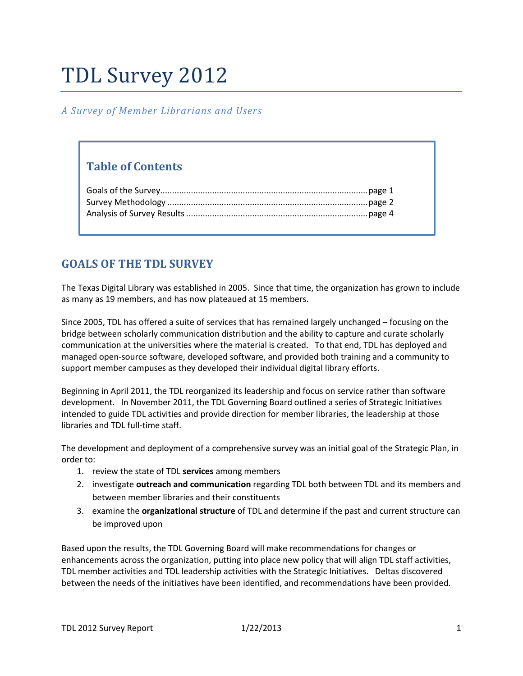# TDL Survey 2012

## *A Survey of Member Librarians and Users*

# **Table of Contents**

# **GOALS OF THE TDL SURVEY**

The Texas Digital Library was established in 2005. Since that time, the organization has grown to include as many as 19 members, and has now plateaued at 15 members.

Since 2005, TDL has offered a suite of services that has remained largely unchanged – focusing on the bridge between scholarly communication distribution and the ability to capture and curate scholarly communication at the universities where the material is created. To that end, TDL has deployed and managed open-source software, developed software, and provided both training and a community to support member campuses as they developed their individual digital library efforts.

Beginning in April 2011, the TDL reorganized its leadership and focus on service rather than software development. In November 2011, the TDL Governing Board outlined a series of Strategic Initiatives intended to guide TDL activities and provide direction for member libraries, the leadership at those libraries and TDL full-time staff.

The development and deployment of a comprehensive survey was an initial goal of the Strategic Plan, in order to:

- 1. review the state of TDL **services** among members
- 2. investigate **outreach and communication** regarding TDL both between TDL and its members and between member libraries and their constituents
- 3. examine the **organizational structure** of TDL and determine if the past and current structure can be improved upon

Based upon the results, the TDL Governing Board will make recommendations for changes or enhancements across the organization, putting into place new policy that will align TDL staff activities, TDL member activities and TDL leadership activities with the Strategic Initiatives. Deltas discovered between the needs of the initiatives have been identified, and recommendations have been provided.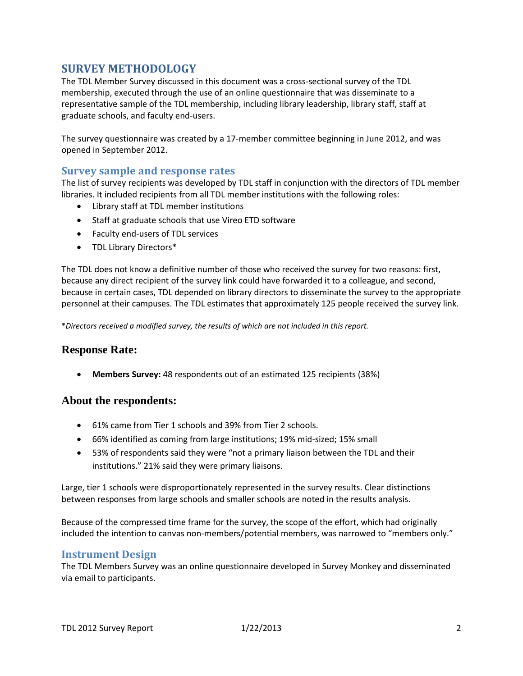# **SURVEY METHODOLOGY**

The TDL Member Survey discussed in this document was a cross-sectional survey of the TDL membership, executed through the use of an online questionnaire that was disseminate to a representative sample of the TDL membership, including library leadership, library staff, staff at graduate schools, and faculty end-users.

The survey questionnaire was created by a 17-member committee beginning in June 2012, and was opened in September 2012.

## **Survey sample and response rates**

The list of survey recipients was developed by TDL staff in conjunction with the directors of TDL member libraries. It included recipients from all TDL member institutions with the following roles:

- Library staff at TDL member institutions
- Staff at graduate schools that use Vireo ETD software
- Faculty end-users of TDL services
- TDL Library Directors\*

The TDL does not know a definitive number of those who received the survey for two reasons: first, because any direct recipient of the survey link could have forwarded it to a colleague, and second, because in certain cases, TDL depended on library directors to disseminate the survey to the appropriate personnel at their campuses. The TDL estimates that approximately 125 people received the survey link.

\**Directors received a modified survey, the results of which are not included in this report.*

## **Response Rate:**

• **Members Survey:** 48 respondents out of an estimated 125 recipients (38%)

#### **About the respondents:**

- 61% came from Tier 1 schools and 39% from Tier 2 schools.
- 66% identified as coming from large institutions; 19% mid-sized; 15% small
- 53% of respondents said they were "not a primary liaison between the TDL and their institutions." 21% said they were primary liaisons.

Large, tier 1 schools were disproportionately represented in the survey results. Clear distinctions between responses from large schools and smaller schools are noted in the results analysis.

Because of the compressed time frame for the survey, the scope of the effort, which had originally included the intention to canvas non-members/potential members, was narrowed to "members only."

#### **Instrument Design**

The TDL Members Survey was an online questionnaire developed in Survey Monkey and disseminated via email to participants.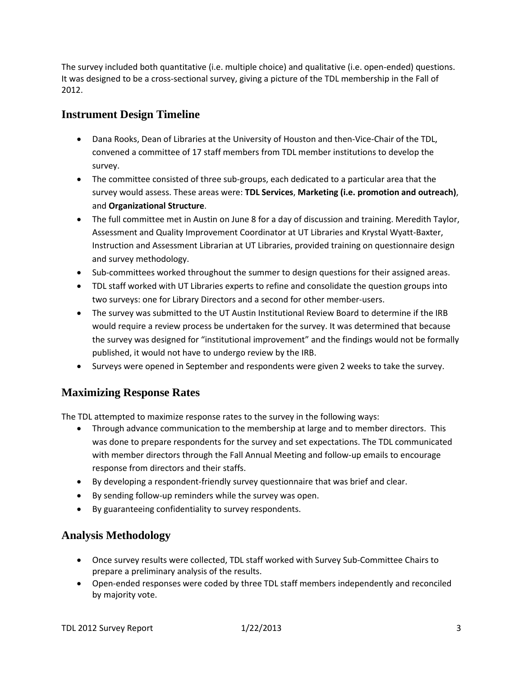The survey included both quantitative (i.e. multiple choice) and qualitative (i.e. open-ended) questions. It was designed to be a cross-sectional survey, giving a picture of the TDL membership in the Fall of 2012.

# **Instrument Design Timeline**

- Dana Rooks, Dean of Libraries at the University of Houston and then-Vice-Chair of the TDL, convened a committee of 17 staff members from TDL member institutions to develop the survey.
- The committee consisted of three sub-groups, each dedicated to a particular area that the survey would assess. These areas were: **TDL Services**, **Marketing (i.e. promotion and outreach)**, and **Organizational Structure**.
- The full committee met in Austin on June 8 for a day of discussion and training. Meredith Taylor, Assessment and Quality Improvement Coordinator at UT Libraries and Krystal Wyatt-Baxter, Instruction and Assessment Librarian at UT Libraries, provided training on questionnaire design and survey methodology.
- Sub-committees worked throughout the summer to design questions for their assigned areas.
- TDL staff worked with UT Libraries experts to refine and consolidate the question groups into two surveys: one for Library Directors and a second for other member-users.
- The survey was submitted to the UT Austin Institutional Review Board to determine if the IRB would require a review process be undertaken for the survey. It was determined that because the survey was designed for "institutional improvement" and the findings would not be formally published, it would not have to undergo review by the IRB.
- Surveys were opened in September and respondents were given 2 weeks to take the survey.

# **Maximizing Response Rates**

The TDL attempted to maximize response rates to the survey in the following ways:

- Through advance communication to the membership at large and to member directors. This was done to prepare respondents for the survey and set expectations. The TDL communicated with member directors through the Fall Annual Meeting and follow-up emails to encourage response from directors and their staffs.
- By developing a respondent-friendly survey questionnaire that was brief and clear.
- By sending follow-up reminders while the survey was open.
- By guaranteeing confidentiality to survey respondents.

# **Analysis Methodology**

- Once survey results were collected, TDL staff worked with Survey Sub-Committee Chairs to prepare a preliminary analysis of the results.
- Open-ended responses were coded by three TDL staff members independently and reconciled by majority vote.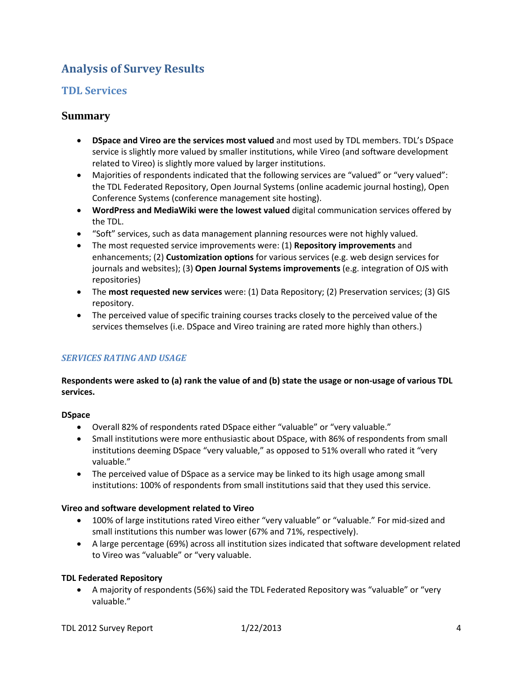# **Analysis of Survey Results**

## **TDL Services**

## **Summary**

- **DSpace and Vireo are the services most valued** and most used by TDL members. TDL's DSpace service is slightly more valued by smaller institutions, while Vireo (and software development related to Vireo) is slightly more valued by larger institutions.
- Majorities of respondents indicated that the following services are "valued" or "very valued": the TDL Federated Repository, Open Journal Systems (online academic journal hosting), Open Conference Systems (conference management site hosting).
- **WordPress and MediaWiki were the lowest valued** digital communication services offered by the TDL.
- "Soft" services, such as data management planning resources were not highly valued.
- The most requested service improvements were: (1) **Repository improvements** and enhancements; (2) **Customization options** for various services (e.g. web design services for journals and websites); (3) **Open Journal Systems improvements** (e.g. integration of OJS with repositories)
- The **most requested new services** were: (1) Data Repository; (2) Preservation services; (3) GIS repository.
- The perceived value of specific training courses tracks closely to the perceived value of the services themselves (i.e. DSpace and Vireo training are rated more highly than others.)

## *SERVICES RATING AND USAGE*

## **Respondents were asked to (a) rank the value of and (b) state the usage or non-usage of various TDL services.**

#### **DSpace**

- Overall 82% of respondents rated DSpace either "valuable" or "very valuable."
- Small institutions were more enthusiastic about DSpace, with 86% of respondents from small institutions deeming DSpace "very valuable," as opposed to 51% overall who rated it "very valuable."
- The perceived value of DSpace as a service may be linked to its high usage among small institutions: 100% of respondents from small institutions said that they used this service.

#### **Vireo and software development related to Vireo**

- 100% of large institutions rated Vireo either "very valuable" or "valuable." For mid-sized and small institutions this number was lower (67% and 71%, respectively).
- A large percentage (69%) across all institution sizes indicated that software development related to Vireo was "valuable" or "very valuable.

#### **TDL Federated Repository**

• A majority of respondents (56%) said the TDL Federated Repository was "valuable" or "very valuable."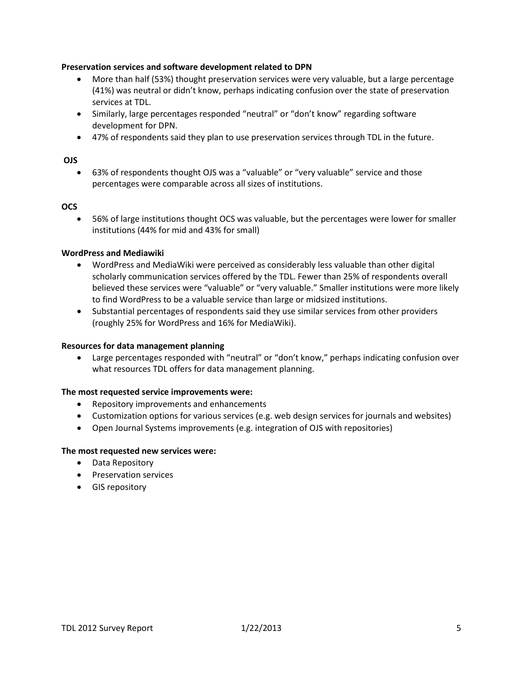#### **Preservation services and software development related to DPN**

- More than half (53%) thought preservation services were very valuable, but a large percentage (41%) was neutral or didn't know, perhaps indicating confusion over the state of preservation services at TDL.
- Similarly, large percentages responded "neutral" or "don't know" regarding software development for DPN.
- 47% of respondents said they plan to use preservation services through TDL in the future.

#### **OJS**

• 63% of respondents thought OJS was a "valuable" or "very valuable" service and those percentages were comparable across all sizes of institutions.

#### **OCS**

• 56% of large institutions thought OCS was valuable, but the percentages were lower for smaller institutions (44% for mid and 43% for small)

#### **WordPress and Mediawiki**

- WordPress and MediaWiki were perceived as considerably less valuable than other digital scholarly communication services offered by the TDL. Fewer than 25% of respondents overall believed these services were "valuable" or "very valuable." Smaller institutions were more likely to find WordPress to be a valuable service than large or midsized institutions.
- Substantial percentages of respondents said they use similar services from other providers (roughly 25% for WordPress and 16% for MediaWiki).

#### **Resources for data management planning**

• Large percentages responded with "neutral" or "don't know," perhaps indicating confusion over what resources TDL offers for data management planning.

#### **The most requested service improvements were:**

- Repository improvements and enhancements
- Customization options for various services (e.g. web design services for journals and websites)
- Open Journal Systems improvements (e.g. integration of OJS with repositories)

#### **The most requested new services were:**

- Data Repository
- Preservation services
- GIS repository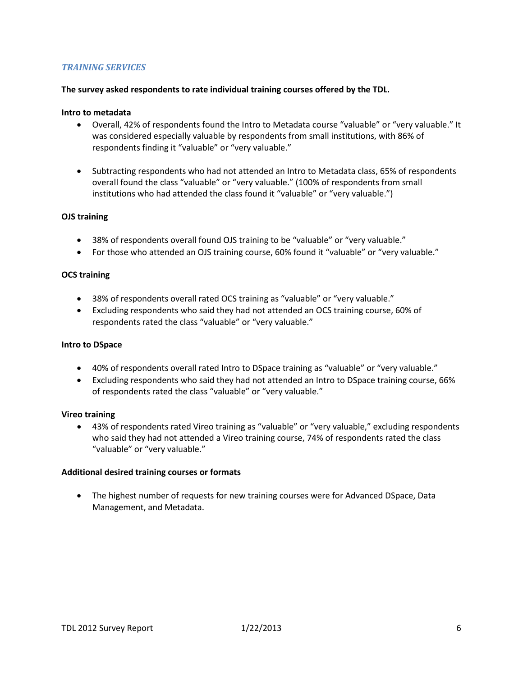#### *TRAINING SERVICES*

#### **The survey asked respondents to rate individual training courses offered by the TDL.**

#### **Intro to metadata**

- Overall, 42% of respondents found the Intro to Metadata course "valuable" or "very valuable." It was considered especially valuable by respondents from small institutions, with 86% of respondents finding it "valuable" or "very valuable."
- Subtracting respondents who had not attended an Intro to Metadata class, 65% of respondents overall found the class "valuable" or "very valuable." (100% of respondents from small institutions who had attended the class found it "valuable" or "very valuable.")

#### **OJS training**

- 38% of respondents overall found OJS training to be "valuable" or "very valuable."
- For those who attended an OJS training course, 60% found it "valuable" or "very valuable."

#### **OCS training**

- 38% of respondents overall rated OCS training as "valuable" or "very valuable."
- Excluding respondents who said they had not attended an OCS training course, 60% of respondents rated the class "valuable" or "very valuable."

#### **Intro to DSpace**

- 40% of respondents overall rated Intro to DSpace training as "valuable" or "very valuable."
- Excluding respondents who said they had not attended an Intro to DSpace training course, 66% of respondents rated the class "valuable" or "very valuable."

#### **Vireo training**

• 43% of respondents rated Vireo training as "valuable" or "very valuable," excluding respondents who said they had not attended a Vireo training course, 74% of respondents rated the class "valuable" or "very valuable."

#### **Additional desired training courses or formats**

• The highest number of requests for new training courses were for Advanced DSpace, Data Management, and Metadata.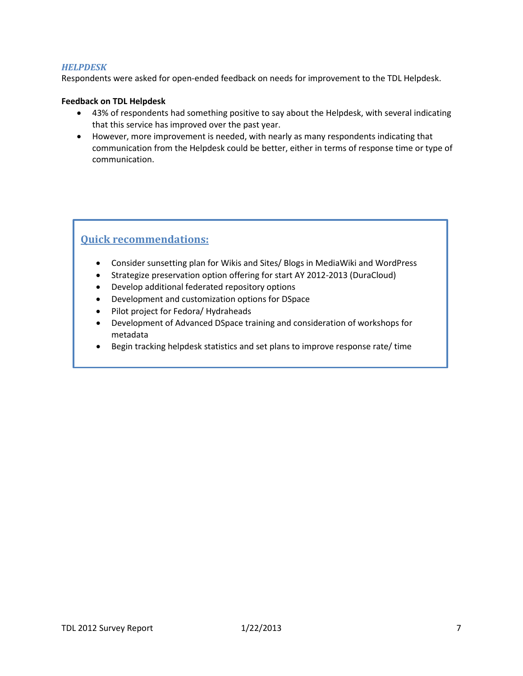#### *HELPDESK*

Respondents were asked for open-ended feedback on needs for improvement to the TDL Helpdesk.

#### **Feedback on TDL Helpdesk**

- 43% of respondents had something positive to say about the Helpdesk, with several indicating that this service has improved over the past year.
- However, more improvement is needed, with nearly as many respondents indicating that communication from the Helpdesk could be better, either in terms of response time or type of communication.

# **Quick recommendations:**

- Consider sunsetting plan for Wikis and Sites/ Blogs in MediaWiki and WordPress
- Strategize preservation option offering for start AY 2012-2013 (DuraCloud)
- Develop additional federated repository options
- Development and customization options for DSpace
- Pilot project for Fedora/ Hydraheads
- Development of Advanced DSpace training and consideration of workshops for metadata
- Begin tracking helpdesk statistics and set plans to improve response rate/ time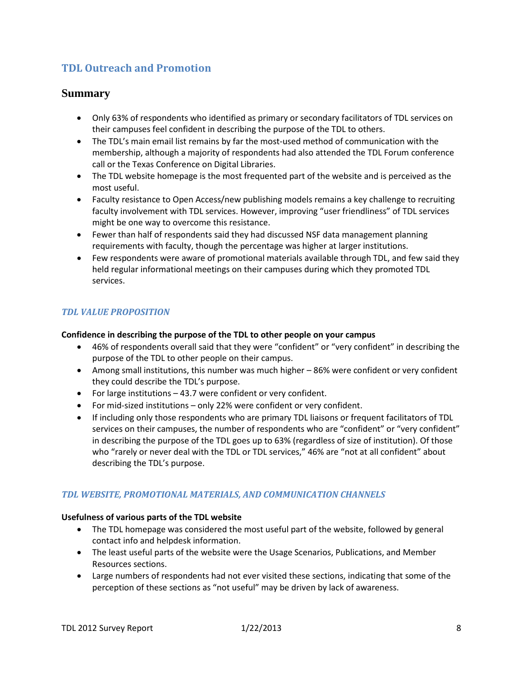# **TDL Outreach and Promotion**

## **Summary**

- Only 63% of respondents who identified as primary or secondary facilitators of TDL services on their campuses feel confident in describing the purpose of the TDL to others.
- The TDL's main email list remains by far the most-used method of communication with the membership, although a majority of respondents had also attended the TDL Forum conference call or the Texas Conference on Digital Libraries.
- The TDL website homepage is the most frequented part of the website and is perceived as the most useful.
- Faculty resistance to Open Access/new publishing models remains a key challenge to recruiting faculty involvement with TDL services. However, improving "user friendliness" of TDL services might be one way to overcome this resistance.
- Fewer than half of respondents said they had discussed NSF data management planning requirements with faculty, though the percentage was higher at larger institutions.
- Few respondents were aware of promotional materials available through TDL, and few said they held regular informational meetings on their campuses during which they promoted TDL services.

## *TDL VALUE PROPOSITION*

#### **Confidence in describing the purpose of the TDL to other people on your campus**

- 46% of respondents overall said that they were "confident" or "very confident" in describing the purpose of the TDL to other people on their campus.
- Among small institutions, this number was much higher 86% were confident or very confident they could describe the TDL's purpose.
- For large institutions 43.7 were confident or very confident.
- For mid-sized institutions only 22% were confident or very confident.
- If including only those respondents who are primary TDL liaisons or frequent facilitators of TDL services on their campuses, the number of respondents who are "confident" or "very confident" in describing the purpose of the TDL goes up to 63% (regardless of size of institution). Of those who "rarely or never deal with the TDL or TDL services," 46% are "not at all confident" about describing the TDL's purpose.

## *TDL WEBSITE, PROMOTIONAL MATERIALS, AND COMMUNICATION CHANNELS*

#### **Usefulness of various parts of the TDL website**

- The TDL homepage was considered the most useful part of the website, followed by general contact info and helpdesk information.
- The least useful parts of the website were the Usage Scenarios, Publications, and Member Resources sections.
- Large numbers of respondents had not ever visited these sections, indicating that some of the perception of these sections as "not useful" may be driven by lack of awareness.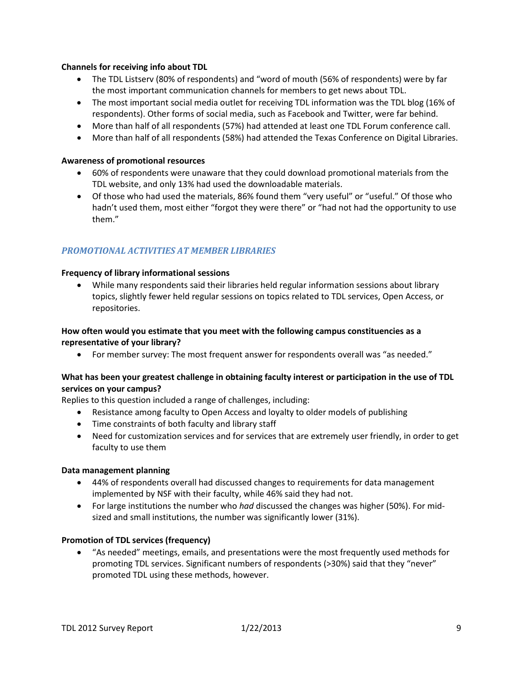#### **Channels for receiving info about TDL**

- The TDL Listserv (80% of respondents) and "word of mouth (56% of respondents) were by far the most important communication channels for members to get news about TDL.
- The most important social media outlet for receiving TDL information was the TDL blog (16% of respondents). Other forms of social media, such as Facebook and Twitter, were far behind.
- More than half of all respondents (57%) had attended at least one TDL Forum conference call.
- More than half of all respondents (58%) had attended the Texas Conference on Digital Libraries.

#### **Awareness of promotional resources**

- 60% of respondents were unaware that they could download promotional materials from the TDL website, and only 13% had used the downloadable materials.
- Of those who had used the materials, 86% found them "very useful" or "useful." Of those who hadn't used them, most either "forgot they were there" or "had not had the opportunity to use them."

## *PROMOTIONAL ACTIVITIES AT MEMBER LIBRARIES*

#### **Frequency of library informational sessions**

• While many respondents said their libraries held regular information sessions about library topics, slightly fewer held regular sessions on topics related to TDL services, Open Access, or repositories.

#### **How often would you estimate that you meet with the following campus constituencies as a representative of your library?**

• For member survey: The most frequent answer for respondents overall was "as needed."

#### **What has been your greatest challenge in obtaining faculty interest or participation in the use of TDL services on your campus?**

Replies to this question included a range of challenges, including:

- Resistance among faculty to Open Access and loyalty to older models of publishing
- Time constraints of both faculty and library staff
- Need for customization services and for services that are extremely user friendly, in order to get faculty to use them

#### **Data management planning**

- 44% of respondents overall had discussed changes to requirements for data management implemented by NSF with their faculty, while 46% said they had not.
- For large institutions the number who *had* discussed the changes was higher (50%). For midsized and small institutions, the number was significantly lower (31%).

#### **Promotion of TDL services (frequency)**

• "As needed" meetings, emails, and presentations were the most frequently used methods for promoting TDL services. Significant numbers of respondents (>30%) said that they "never" promoted TDL using these methods, however.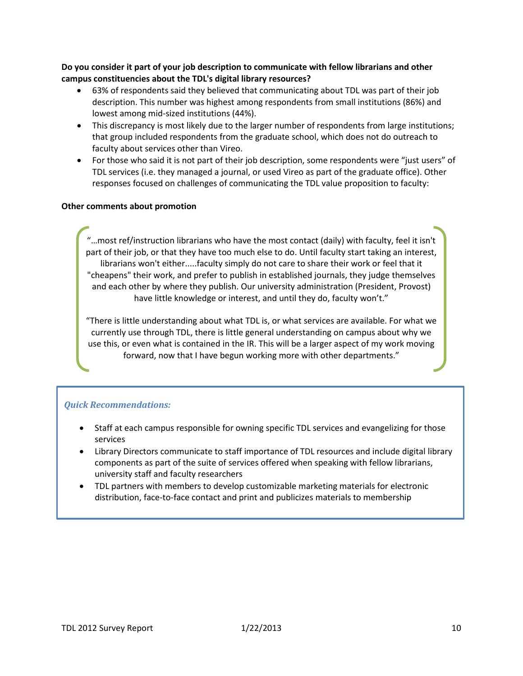**Do you consider it part of your job description to communicate with fellow librarians and other campus constituencies about the TDL's digital library resources?**

- 63% of respondents said they believed that communicating about TDL was part of their job description. This number was highest among respondents from small institutions (86%) and lowest among mid-sized institutions (44%).
- This discrepancy is most likely due to the larger number of respondents from large institutions; that group included respondents from the graduate school, which does not do outreach to faculty about services other than Vireo.
- For those who said it is not part of their job description, some respondents were "just users" of TDL services (i.e. they managed a journal, or used Vireo as part of the graduate office). Other responses focused on challenges of communicating the TDL value proposition to faculty:

#### **Other comments about promotion**

"…most ref/instruction librarians who have the most contact (daily) with faculty, feel it isn't part of their job, or that they have too much else to do. Until faculty start taking an interest, librarians won't either.....faculty simply do not care to share their work or feel that it "cheapens" their work, and prefer to publish in established journals, they judge themselves and each other by where they publish. Our university administration (President, Provost) have little knowledge or interest, and until they do, faculty won't."

"There is little understanding about what TDL is, or what services are available. For what we currently use through TDL, there is little general understanding on campus about why we use this, or even what is contained in the IR. This will be a larger aspect of my work moving forward, now that I have begun working more with other departments."

# $\bm{Quick\,}\ \bm{Recommendations:}$

- "If there are other members who have successful outreach programs, we'd like to • Staff at each campus responsible for owning specific TDL services and evangelizing for those services
- Library Directors communicate to staff importance of TDL resources and include digital library emperience as part of the categories about these choices in the speaking that called the last as components as part of the suite of services offered when speaking with fellow librarians,
- The partners with members to develop customizable marketing materials for electronic in a partners in in members to accompled tenderment mannering inaccrease to decide<br>distribution, face-to-face contact and print and publicizes materials to membership